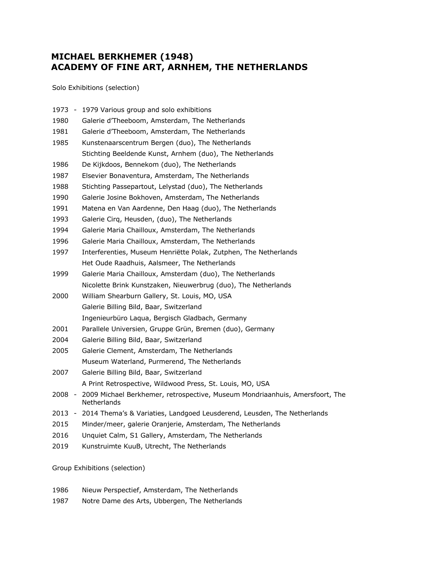## **MICHAEL BERKHEMER (1948) ACADEMY OF FINE ART, ARNHEM, THE NETHERLANDS**

Solo Exhibitions (selection)

| 1973     | $\sim$ | 1979 Various group and solo exhibitions                                                            |
|----------|--------|----------------------------------------------------------------------------------------------------|
| 1980     |        | Galerie d'Theeboom, Amsterdam, The Netherlands                                                     |
| 1981     |        | Galerie d'Theeboom, Amsterdam, The Netherlands                                                     |
| 1985     |        | Kunstenaarscentrum Bergen (duo), The Netherlands                                                   |
|          |        | Stichting Beeldende Kunst, Arnhem (duo), The Netherlands                                           |
| 1986     |        | De Kijkdoos, Bennekom (duo), The Netherlands                                                       |
| 1987     |        | Elsevier Bonaventura, Amsterdam, The Netherlands                                                   |
| 1988     |        | Stichting Passepartout, Lelystad (duo), The Netherlands                                            |
| 1990     |        | Galerie Josine Bokhoven, Amsterdam, The Netherlands                                                |
| 1991     |        | Matena en Van Aardenne, Den Haag (duo), The Netherlands                                            |
| 1993     |        | Galerie Cirq, Heusden, (duo), The Netherlands                                                      |
| 1994     |        | Galerie Maria Chailloux, Amsterdam, The Netherlands                                                |
| 1996     |        | Galerie Maria Chailloux, Amsterdam, The Netherlands                                                |
| 1997     |        | Interferenties, Museum Henriëtte Polak, Zutphen, The Netherlands                                   |
|          |        | Het Oude Raadhuis, Aalsmeer, The Netherlands                                                       |
| 1999     |        | Galerie Maria Chailloux, Amsterdam (duo), The Netherlands                                          |
|          |        | Nicolette Brink Kunstzaken, Nieuwerbrug (duo), The Netherlands                                     |
| 2000     |        | William Shearburn Gallery, St. Louis, MO, USA                                                      |
|          |        | Galerie Billing Bild, Baar, Switzerland                                                            |
|          |        | Ingenieurbüro Laqua, Bergisch Gladbach, Germany                                                    |
| 2001     |        | Parallele Universien, Gruppe Grün, Bremen (duo), Germany                                           |
| 2004     |        | Galerie Billing Bild, Baar, Switzerland                                                            |
| 2005     |        | Galerie Clement, Amsterdam, The Netherlands                                                        |
|          |        | Museum Waterland, Purmerend, The Netherlands                                                       |
| 2007     |        | Galerie Billing Bild, Baar, Switzerland                                                            |
|          |        | A Print Retrospective, Wildwood Press, St. Louis, MO, USA                                          |
| $2008 -$ |        | 2009 Michael Berkhemer, retrospective, Museum Mondriaanhuis, Amersfoort, The<br><b>Netherlands</b> |
|          |        | 2013 - 2014 Thema's & Variaties, Landgoed Leusderend, Leusden, The Netherlands                     |
| 2015     |        | Minder/meer, galerie Oranjerie, Amsterdam, The Netherlands                                         |
| 2016     |        | Unquiet Calm, S1 Gallery, Amsterdam, The Netherlands                                               |
| 2019     |        | Kunstruimte KuuB, Utrecht, The Netherlands                                                         |
|          |        |                                                                                                    |

Group Exhibitions (selection)

- Nieuw Perspectief, Amsterdam, The Netherlands
- Notre Dame des Arts, Ubbergen, The Netherlands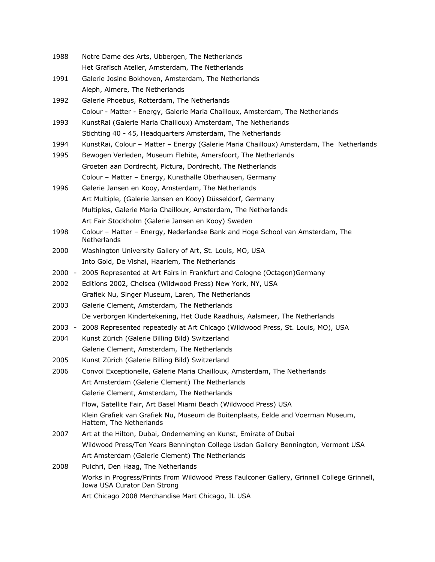- 1988 Notre Dame des Arts, Ubbergen, The Netherlands Het Grafisch Atelier, Amsterdam, The Netherlands
- 1991 Galerie Josine Bokhoven, Amsterdam, The Netherlands Aleph, Almere, The Netherlands
- 1992 Galerie Phoebus, Rotterdam, The Netherlands Colour - Matter - Energy, Galerie Maria Chailloux, Amsterdam, The Netherlands
- 1993 KunstRai (Galerie Maria Chailloux) Amsterdam, The Netherlands Stichting 40 - 45, Headquarters Amsterdam, The Netherlands
- 1994 KunstRai, Colour Matter Energy (Galerie Maria Chailloux) Amsterdam, The Netherlands
- 1995 Bewogen Verleden, Museum Flehite, Amersfoort, The Netherlands Groeten aan Dordrecht, Pictura, Dordrecht, The Netherlands Colour – Matter – Energy, Kunsthalle Oberhausen, Germany
- 1996 Galerie Jansen en Kooy, Amsterdam, The Netherlands Art Multiple, (Galerie Jansen en Kooy) Düsseldorf, Germany Multiples, Galerie Maria Chailloux, Amsterdam, The Netherlands Art Fair Stockholm (Galerie Jansen en Kooy) Sweden
- 1998 Colour Matter Energy, Nederlandse Bank and Hoge School van Amsterdam, The **Netherlands**
- 2000 Washington University Gallery of Art, St. Louis, MO, USA Into Gold, De Vishal, Haarlem, The Netherlands
- 2000 2005 Represented at Art Fairs in Frankfurt and Cologne (Octagon)Germany
- 2002 Editions 2002, Chelsea (Wildwood Press) New York, NY, USA Grafiek Nu, Singer Museum, Laren, The Netherlands
- 2003 Galerie Clement, Amsterdam, The Netherlands De verborgen Kindertekening, Het Oude Raadhuis, Aalsmeer, The Netherlands
- 2003 2008 Represented repeatedly at Art Chicago (Wildwood Press, St. Louis, MO), USA
- 2004 Kunst Zürich (Galerie Billing Bild) Switzerland Galerie Clement, Amsterdam, The Netherlands
- 2005 Kunst Zürich (Galerie Billing Bild) Switzerland
- 2006 Convoi Exceptionelle, Galerie Maria Chailloux, Amsterdam, The Netherlands Art Amsterdam (Galerie Clement) The Netherlands Galerie Clement, Amsterdam, The Netherlands Flow, Satellite Fair, Art Basel Miami Beach (Wildwood Press) USA Klein Grafiek van Grafiek Nu, Museum de Buitenplaats, Eelde and Voerman Museum, Hattem, The Netherlands 2007 Art at the Hilton, Dubai, Onderneming en Kunst, Emirate of Dubai
- Wildwood Press/Ten Years Bennington College Usdan Gallery Bennington, Vermont USA Art Amsterdam (Galerie Clement) The Netherlands
- 2008 Pulchri, Den Haag, The Netherlands Works in Progress/Prints From Wildwood Press Faulconer Gallery, Grinnell College Grinnell, Iowa USA Curator Dan Strong Art Chicago 2008 Merchandise Mart Chicago, IL USA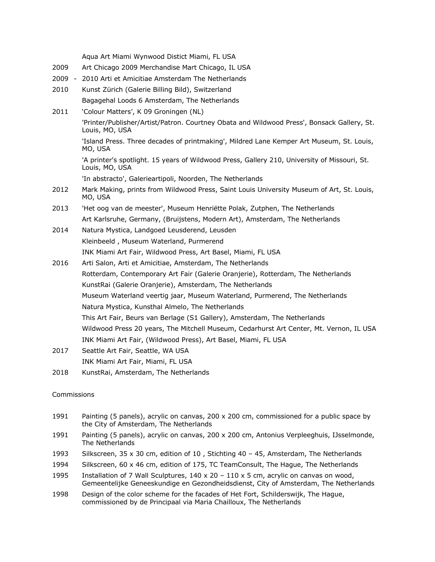Aqua Art Miami Wynwood Distict Miami, FL USA

- 2009 Art Chicago 2009 Merchandise Mart Chicago, IL USA
- 2009 2010 Arti et Amicitiae Amsterdam The Netherlands
- 2010 Kunst Zürich (Galerie Billing Bild), Switzerland Bagagehal Loods 6 Amsterdam, The Netherlands
- 2011 'Colour Matters', K 09 Groningen (NL)

'Printer/Publisher/Artist/Patron. Courtney Obata and Wildwood Press', Bonsack Gallery, St. Louis, MO, USA

'Island Press. Three decades of printmaking', Mildred Lane Kemper Art Museum, St. Louis, MO, USA

'A printer's spotlight. 15 years of Wildwood Press, Gallery 210, University of Missouri, St. Louis, MO, USA

'In abstracto', Galerieartipoli, Noorden, The Netherlands

- 2012 Mark Making, prints from Wildwood Press, Saint Louis University Museum of Art, St. Louis, MO, USA
- 2013 'Het oog van de meester', Museum Henriëtte Polak, Zutphen, The Netherlands Art Karlsruhe, Germany, (Bruijstens, Modern Art), Amsterdam, The Netherlands
- 2014 Natura Mystica, Landgoed Leusderend, Leusden Kleinbeeld , Museum Waterland, Purmerend INK Miami Art Fair, Wildwood Press, Art Basel, Miami, FL USA
- 2016 Arti Salon, Arti et Amicitiae, Amsterdam, The Netherlands Rotterdam, Contemporary Art Fair (Galerie Oranjerie), Rotterdam, The Netherlands KunstRai (Galerie Oranjerie), Amsterdam, The Netherlands Museum Waterland veertig jaar, Museum Waterland, Purmerend, The Netherlands Natura Mystica, Kunsthal Almelo, The Netherlands This Art Fair, Beurs van Berlage (S1 Gallery), Amsterdam, The Netherlands Wildwood Press 20 years, The Mitchell Museum, Cedarhurst Art Center, Mt. Vernon, IL USA INK Miami Art Fair, (Wildwood Press), Art Basel, Miami, FL USA
- 2017 Seattle Art Fair, Seattle, WA USA INK Miami Art Fair, Miami, FL USA
- 2018 KunstRai, Amsterdam, The Netherlands

## Commissions

- 1991 Painting (5 panels), acrylic on canvas, 200 x 200 cm, commissioned for a public space by the City of Amsterdam, The Netherlands
- 1991 Painting (5 panels), acrylic on canvas, 200 x 200 cm, Antonius Verpleeghuis, IJsselmonde, The Netherlands
- 1993 Silkscreen, 35 x 30 cm, edition of 10 , Stichting 40 45, Amsterdam, The Netherlands
- 1994 Silkscreen, 60 x 46 cm, edition of 175, TC TeamConsult, The Hague, The Netherlands
- 1995 Installation of 7 Wall Sculptures, 140 x 20 110 x 5 cm, acrylic on canvas on wood, Gemeentelijke Geneeskundige en Gezondheidsdienst, City of Amsterdam, The Netherlands
- 1998 Design of the color scheme for the facades of Het Fort, Schilderswijk, The Hague, commissioned by de Principaal via Maria Chailloux, The Netherlands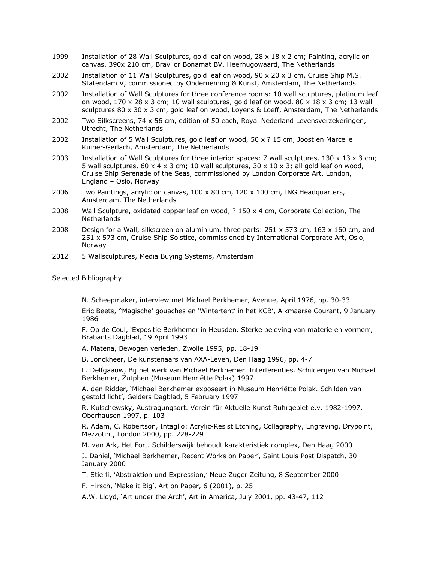- 1999 Installation of 28 Wall Sculptures, gold leaf on wood, 28 x 18 x 2 cm; Painting, acrylic on canvas, 390x 210 cm, Bravilor Bonamat BV, Heerhugowaard, The Netherlands
- 2002 Installation of 11 Wall Sculptures, gold leaf on wood, 90 x 20 x 3 cm, Cruise Ship M.S. Statendam V, commissioned by Onderneming & Kunst, Amsterdam, The Netherlands
- 2002 Installation of Wall Sculptures for three conference rooms: 10 wall sculptures, platinum leaf on wood,  $170 \times 28 \times 3$  cm; 10 wall sculptures, gold leaf on wood,  $80 \times 18 \times 3$  cm; 13 wall sculptures 80 x 30 x 3 cm, gold leaf on wood, Loyens & Loeff, Amsterdam, The Netherlands
- 2002 Two Silkscreens, 74 x 56 cm, edition of 50 each, Royal Nederland Levensverzekeringen, Utrecht, The Netherlands
- 2002 Installation of 5 Wall Sculptures, gold leaf on wood, 50 x ? 15 cm, Joost en Marcelle Kuiper-Gerlach, Amsterdam, The Netherlands
- 2003 Installation of Wall Sculptures for three interior spaces: 7 wall sculptures,  $130 \times 13 \times 3$  cm; 5 wall sculptures, 60 x 4 x 3 cm; 10 wall sculptures, 30 x 10 x 3; all gold leaf on wood, Cruise Ship Serenade of the Seas, commissioned by London Corporate Art, London, England – Oslo, Norway
- 2006 Two Paintings, acrylic on canvas, 100 x 80 cm, 120 x 100 cm, ING Headquarters, Amsterdam, The Netherlands
- 2008 Wall Sculpture, oxidated copper leaf on wood,  $?150 \times 4$  cm, Corporate Collection, The **Netherlands**
- 2008 Design for a Wall, silkscreen on aluminium, three parts:  $251 \times 573$  cm,  $163 \times 160$  cm, and 251 x 573 cm, Cruise Ship Solstice, commissioned by International Corporate Art, Oslo, Norway
- 2012 5 Wallsculptures, Media Buying Systems, Amsterdam

Selected Bibliography

N. Scheepmaker, interview met Michael Berkhemer, Avenue, April 1976, pp. 30-33

Eric Beets, ''Magische' gouaches en 'Wintertent' in het KCB', Alkmaarse Courant, 9 January 1986

F. Op de Coul, 'Expositie Berkhemer in Heusden. Sterke beleving van materie en vormen', Brabants Dagblad, 19 April 1993

A. Matena, Bewogen verleden, Zwolle 1995, pp. 18-19

B. Jonckheer, De kunstenaars van AXA-Leven, Den Haag 1996, pp. 4-7

L. Delfgaauw, Bij het werk van Michaël Berkhemer. Interferenties. Schilderijen van Michaël Berkhemer, Zutphen (Museum Henriëtte Polak) 1997

A. den Ridder, 'Michael Berkhemer exposeert in Museum Henriëtte Polak. Schilden van gestold licht', Gelders Dagblad, 5 February 1997

R. Kulschewsky, Austragungsort. Verein für Aktuelle Kunst Ruhrgebiet e.v. 1982-1997, Oberhausen 1997, p. 103

R. Adam, C. Robertson, Intaglio: Acrylic-Resist Etching, Collagraphy, Engraving, Drypoint, Mezzotint, London 2000, pp. 228-229

M. van Ark, Het Fort. Schilderswijk behoudt karakteristiek complex, Den Haag 2000

J. Daniel, 'Michael Berkhemer, Recent Works on Paper', Saint Louis Post Dispatch, 30 January 2000

T. Stierli, 'Abstraktion und Expression,' Neue Zuger Zeitung, 8 September 2000

F. Hirsch, 'Make it Big', Art on Paper, 6 (2001), p. 25

A.W. Lloyd, 'Art under the Arch', Art in America, July 2001, pp. 43-47, 112